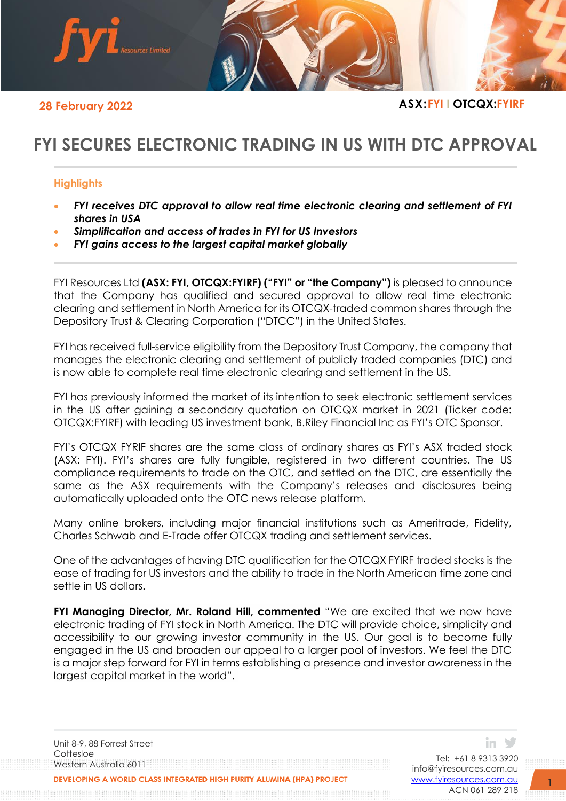

**28 February 2022 ASX:FYI I OTCQX:FYIRF**

# **FYI SECURES ELECTRONIC TRADING IN US WITH DTC APPROVAL**

## **Highlights**

- *FYI receives DTC approval to allow real time electronic clearing and settlement of FYI shares in USA*
- *Simplification and access of trades in FYI for US Investors*
- *FYI gains access to the largest capital market globally*

FYI Resources Ltd **(ASX: FYI, OTCQX:FYIRF) ("FYI" or "the Company")** is pleased to announce that the Company has qualified and secured approval to allow real time electronic clearing and settlement in North America for its OTCQX-traded common shares through the Depository Trust & Clearing Corporation ("DTCC") in the United States.

FYI has received full-service eligibility from the Depository Trust Company, the company that manages the electronic clearing and settlement of publicly traded companies (DTC) and is now able to complete real time electronic clearing and settlement in the US.

FYI has previously informed the market of its intention to seek electronic settlement services in the US after gaining a secondary quotation on OTCQX market in 2021 (Ticker code: OTCQX:FYIRF) with leading US investment bank, B.Riley Financial Inc as FYI's OTC Sponsor.

FYI's OTCQX FYRIF shares are the same class of ordinary shares as FYI's ASX traded stock (ASX: FYI). FYI's shares are fully fungible, registered in two different countries. The US compliance requirements to trade on the OTC, and settled on the DTC, are essentially the same as the ASX requirements with the Company's releases and disclosures being automatically uploaded onto the OTC news release platform.

Many online brokers, including major financial institutions such as Ameritrade, Fidelity, Charles Schwab and E-Trade offer OTCQX trading and settlement services.

One of the advantages of having DTC qualification for the OTCQX FYIRF traded stocks is the ease of trading for US investors and the ability to trade in the North American time zone and settle in US dollars.

**FYI Managing Director, Mr. Roland Hill, commented** "We are excited that we now have electronic trading of FYI stock in North America. The DTC will provide choice, simplicity and accessibility to our growing investor community in the US. Our goal is to become fully engaged in the US and broaden our appeal to a larger pool of investors. We feel the DTC is a major step forward for FYI in terms establishing a presence and investor awareness in the largest capital market in the world".

Unit 8-9, 88 Forrest Street Cottesloe Western Australia 6011 VELOPING A WORLD CLASS INTEGRATED HIGH PURITY ALUMINA (HPA) PROJECT

Tel: +61 8 9313 3920 [info@fyiresources.com.au](mailto:info@fyiresources.com.au) [www.fyiresources.com.au](mailto:https://www.fyiresources.com.au/) ACN 061 289 218

in ソ

**1**